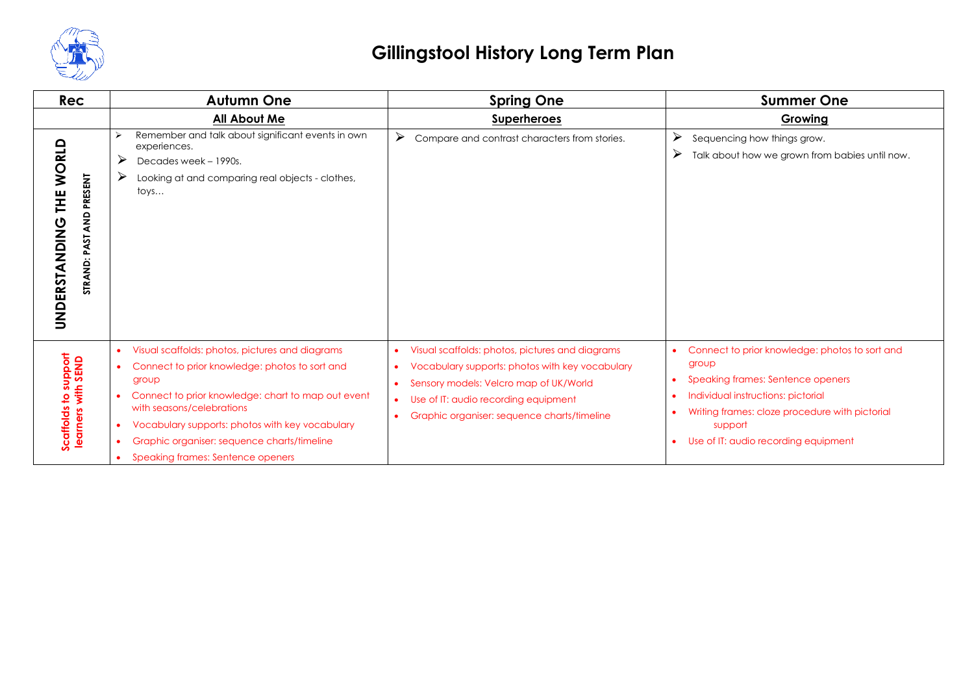

| <b>Rec</b>                                                     | <b>Autumn One</b>                                                                                                                                                                                                                                                                                                                                              | <b>Spring One</b>                                                                                                                                                                                                                                | <b>Summer One</b>                                                                                                                                                                                                                       |
|----------------------------------------------------------------|----------------------------------------------------------------------------------------------------------------------------------------------------------------------------------------------------------------------------------------------------------------------------------------------------------------------------------------------------------------|--------------------------------------------------------------------------------------------------------------------------------------------------------------------------------------------------------------------------------------------------|-----------------------------------------------------------------------------------------------------------------------------------------------------------------------------------------------------------------------------------------|
|                                                                | <b>All About Me</b>                                                                                                                                                                                                                                                                                                                                            | <b>Superheroes</b>                                                                                                                                                                                                                               | Growing                                                                                                                                                                                                                                 |
| THE WORLD<br>AND PRESENT<br>UNDERSTANDING<br>5<br>Š<br>STRAND: | Remember and talk about significant events in own<br>experiences.<br>➤<br>Decades week - 1990s.<br>➤<br>Looking at and comparing real objects - clothes,<br>toys                                                                                                                                                                                               | ➤<br>Compare and contrast characters from stories.                                                                                                                                                                                               | ➤<br>Sequencing how things grow.<br>➤<br>Talk about how we grown from babies until now.                                                                                                                                                 |
| Scaffolds to support<br>learners with SEND                     | Visual scaffolds: photos, pictures and diagrams<br>$\bullet$<br>Connect to prior knowledge: photos to sort and<br>group<br>Connect to prior knowledge: chart to map out event<br>with seasons/celebrations<br>Vocabulary supports: photos with key vocabulary<br>$\bullet$<br>Graphic organiser: sequence charts/timeline<br>Speaking frames: Sentence openers | Visual scaffolds: photos, pictures and diagrams<br>Vocabulary supports: photos with key vocabulary<br>Sensory models: Velcro map of UK/World<br>Use of IT: audio recording equipment<br>$\bullet$<br>Graphic organiser: sequence charts/timeline | Connect to prior knowledge: photos to sort and<br>group<br>Speaking frames: Sentence openers<br>Individual instructions: pictorial<br>Writing frames: cloze procedure with pictorial<br>support<br>Use of IT: audio recording equipment |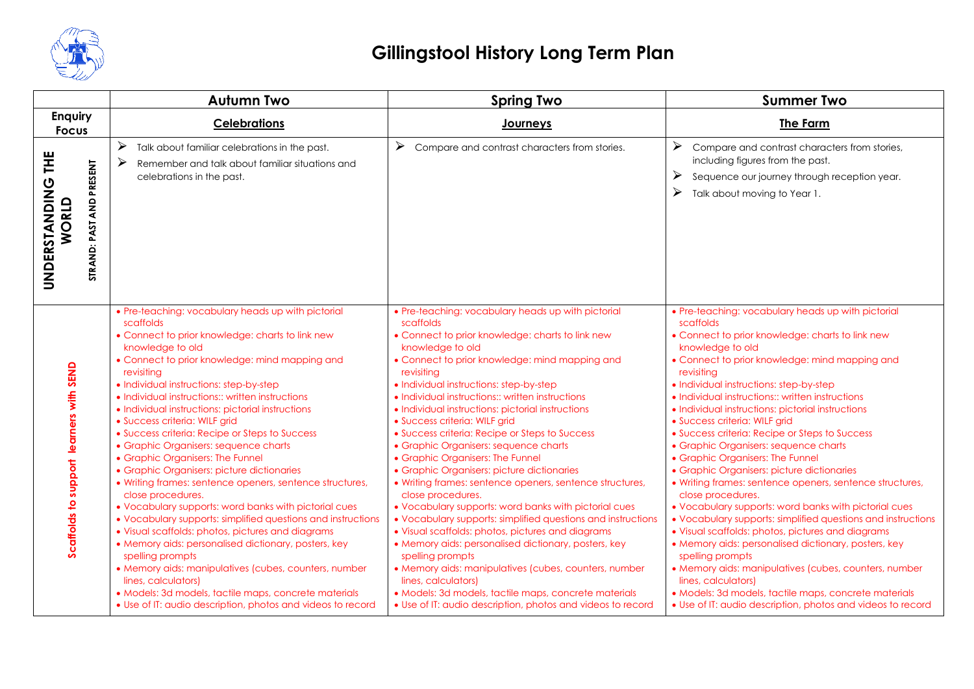

|                                                                  | <b>Autumn Two</b>                                                                                                                                                                                                                                                                                                                                                                                                                                                                                                                                                                                                                                                                                                                                                                                                                                                                                                                                                                                                                                                                                                            | <b>Spring Two</b>                                                                                                                                                                                                                                                                                                                                                                                                                                                                                                                                                                                                                                                                                                                                                                                                                                                                                                                                                                                                                                                                                                            | <b>Summer Two</b>                                                                                                                                                                                                                                                                                                                                                                                                                                                                                                                                                                                                                                                                                                                                                                                                                                                                                                                                                                                                                                                                                                            |
|------------------------------------------------------------------|------------------------------------------------------------------------------------------------------------------------------------------------------------------------------------------------------------------------------------------------------------------------------------------------------------------------------------------------------------------------------------------------------------------------------------------------------------------------------------------------------------------------------------------------------------------------------------------------------------------------------------------------------------------------------------------------------------------------------------------------------------------------------------------------------------------------------------------------------------------------------------------------------------------------------------------------------------------------------------------------------------------------------------------------------------------------------------------------------------------------------|------------------------------------------------------------------------------------------------------------------------------------------------------------------------------------------------------------------------------------------------------------------------------------------------------------------------------------------------------------------------------------------------------------------------------------------------------------------------------------------------------------------------------------------------------------------------------------------------------------------------------------------------------------------------------------------------------------------------------------------------------------------------------------------------------------------------------------------------------------------------------------------------------------------------------------------------------------------------------------------------------------------------------------------------------------------------------------------------------------------------------|------------------------------------------------------------------------------------------------------------------------------------------------------------------------------------------------------------------------------------------------------------------------------------------------------------------------------------------------------------------------------------------------------------------------------------------------------------------------------------------------------------------------------------------------------------------------------------------------------------------------------------------------------------------------------------------------------------------------------------------------------------------------------------------------------------------------------------------------------------------------------------------------------------------------------------------------------------------------------------------------------------------------------------------------------------------------------------------------------------------------------|
| <b>Enquiry</b><br><b>Focus</b>                                   | <b>Celebrations</b>                                                                                                                                                                                                                                                                                                                                                                                                                                                                                                                                                                                                                                                                                                                                                                                                                                                                                                                                                                                                                                                                                                          | Journeys                                                                                                                                                                                                                                                                                                                                                                                                                                                                                                                                                                                                                                                                                                                                                                                                                                                                                                                                                                                                                                                                                                                     | The Farm                                                                                                                                                                                                                                                                                                                                                                                                                                                                                                                                                                                                                                                                                                                                                                                                                                                                                                                                                                                                                                                                                                                     |
| Ï<br>PRESENT<br>UNDERSTANDING<br>WORLD<br>AND<br>PAST<br>STRAND: | ➤<br>Talk about familiar celebrations in the past.<br>➤<br>Remember and talk about familiar situations and<br>celebrations in the past.                                                                                                                                                                                                                                                                                                                                                                                                                                                                                                                                                                                                                                                                                                                                                                                                                                                                                                                                                                                      | ➤<br>Compare and contrast characters from stories.                                                                                                                                                                                                                                                                                                                                                                                                                                                                                                                                                                                                                                                                                                                                                                                                                                                                                                                                                                                                                                                                           | ➤<br>Compare and contrast characters from stories,<br>including figures from the past.<br>➤<br>Sequence our journey through reception year.<br>➤<br>Talk about moving to Year 1.                                                                                                                                                                                                                                                                                                                                                                                                                                                                                                                                                                                                                                                                                                                                                                                                                                                                                                                                             |
| arners with SEND<br>₫<br>support<br>Scaffolds to                 | • Pre-teaching: vocabulary heads up with pictorial<br>scaffolds<br>• Connect to prior knowledge: charts to link new<br>knowledge to old<br>• Connect to prior knowledge: mind mapping and<br>revisiting<br>· Individual instructions: step-by-step<br>• Individual instructions:: written instructions<br>· Individual instructions: pictorial instructions<br>• Success criteria: WILF grid<br>• Success criteria: Recipe or Steps to Success<br>• Graphic Organisers: sequence charts<br>• Graphic Organisers: The Funnel<br>• Graphic Organisers: picture dictionaries<br>• Writing frames: sentence openers, sentence structures,<br>close procedures.<br>• Vocabulary supports: word banks with pictorial cues<br>• Vocabulary supports: simplified questions and instructions<br>• Visual scaffolds: photos, pictures and diagrams<br>• Memory aids: personalised dictionary, posters, key<br>spelling prompts<br>• Memory aids: manipulatives (cubes, counters, number<br>lines, calculators)<br>· Models: 3d models, tactile maps, concrete materials<br>• Use of IT: audio description, photos and videos to record | • Pre-teaching: vocabulary heads up with pictorial<br>scaffolds<br>• Connect to prior knowledge: charts to link new<br>knowledge to old<br>• Connect to prior knowledge: mind mapping and<br>revisiting<br>· Individual instructions: step-by-step<br>• Individual instructions:: written instructions<br>· Individual instructions: pictorial instructions<br>· Success criteria: WILF grid<br>• Success criteria: Recipe or Steps to Success<br>• Graphic Organisers: sequence charts<br>• Graphic Organisers: The Funnel<br>• Graphic Organisers: picture dictionaries<br>• Writing frames: sentence openers, sentence structures,<br>close procedures.<br>. Vocabulary supports: word banks with pictorial cues<br>• Vocabulary supports: simplified questions and instructions<br>• Visual scaffolds: photos, pictures and diagrams<br>• Memory aids: personalised dictionary, posters, key<br>spelling prompts<br>· Memory aids: manipulatives (cubes, counters, number<br>lines, calculators)<br>· Models: 3d models, tactile maps, concrete materials<br>• Use of IT: audio description, photos and videos to record | • Pre-teaching: vocabulary heads up with pictorial<br>scaffolds<br>• Connect to prior knowledge: charts to link new<br>knowledge to old<br>• Connect to prior knowledge: mind mapping and<br>revisiting<br>• Individual instructions: step-by-step<br>• Individual instructions:: written instructions<br>· Individual instructions: pictorial instructions<br>• Success criteria: WILF grid<br>• Success criteria: Recipe or Steps to Success<br>• Graphic Organisers: sequence charts<br>• Graphic Organisers: The Funnel<br>• Graphic Organisers: picture dictionaries<br>• Writing frames: sentence openers, sentence structures,<br>close procedures.<br>. Vocabulary supports: word banks with pictorial cues<br>• Vocabulary supports: simplified questions and instructions<br>• Visual scaffolds: photos, pictures and diagrams<br>• Memory aids: personalised dictionary, posters, key<br>spelling prompts<br>• Memory aids: manipulatives (cubes, counters, number<br>lines, calculators)<br>· Models: 3d models, tactile maps, concrete materials<br>• Use of IT: audio description, photos and videos to record |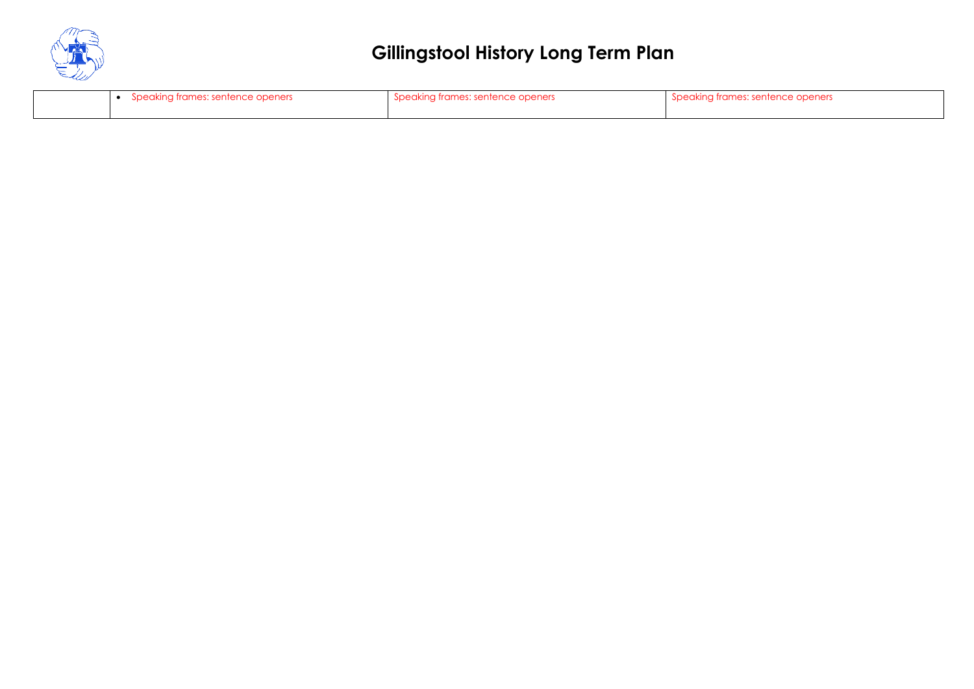

| Speaking frames: sentence openers | Speaking frames: sentence openers | ುµeakına ™‴<br>n frames: sentence openers |
|-----------------------------------|-----------------------------------|-------------------------------------------|
|                                   |                                   |                                           |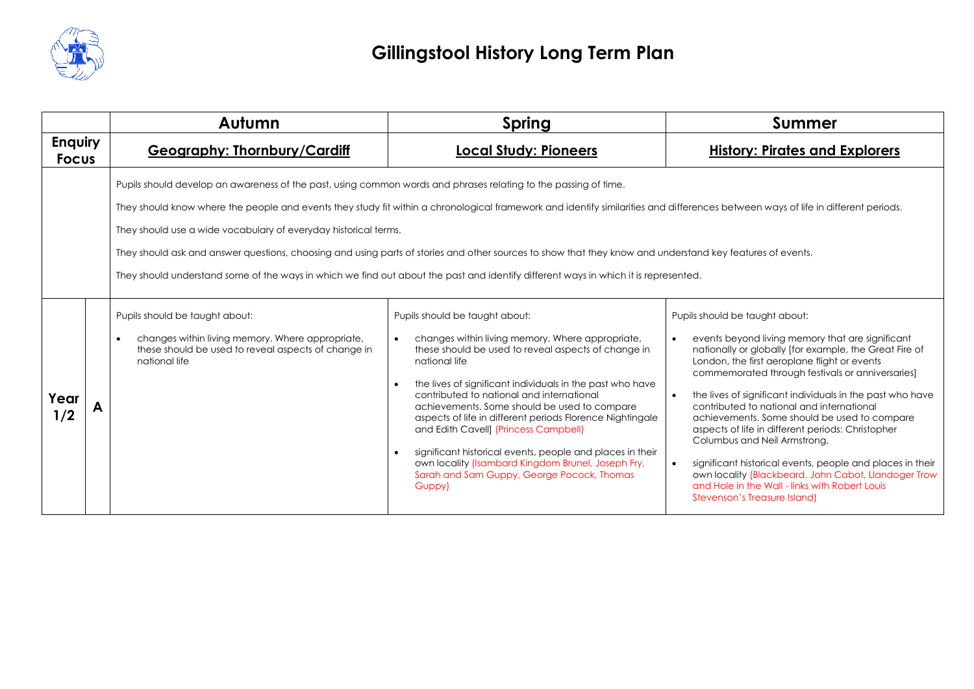

|                                |                                                                                                                                                                                                                                                                                                                                                                                                                                                                                                                                                                                                                                                                             | Autumn                                                                                                                                                                  | Spring                                                                                                                                                                                                                                                                                                                                                                                                                                                                                                                                                                                                | Summer                                                                                                                                                                                                                                                                                                                                                                                                                                                                                                                                                                                                                                                                                                                                        |
|--------------------------------|-----------------------------------------------------------------------------------------------------------------------------------------------------------------------------------------------------------------------------------------------------------------------------------------------------------------------------------------------------------------------------------------------------------------------------------------------------------------------------------------------------------------------------------------------------------------------------------------------------------------------------------------------------------------------------|-------------------------------------------------------------------------------------------------------------------------------------------------------------------------|-------------------------------------------------------------------------------------------------------------------------------------------------------------------------------------------------------------------------------------------------------------------------------------------------------------------------------------------------------------------------------------------------------------------------------------------------------------------------------------------------------------------------------------------------------------------------------------------------------|-----------------------------------------------------------------------------------------------------------------------------------------------------------------------------------------------------------------------------------------------------------------------------------------------------------------------------------------------------------------------------------------------------------------------------------------------------------------------------------------------------------------------------------------------------------------------------------------------------------------------------------------------------------------------------------------------------------------------------------------------|
| <b>Enquiry</b><br><b>Focus</b> |                                                                                                                                                                                                                                                                                                                                                                                                                                                                                                                                                                                                                                                                             | <b>Geography: Thornbury/Cardiff</b>                                                                                                                                     | <b>Local Study: Pioneers</b>                                                                                                                                                                                                                                                                                                                                                                                                                                                                                                                                                                          | <b>History: Pirates and Explorers</b>                                                                                                                                                                                                                                                                                                                                                                                                                                                                                                                                                                                                                                                                                                         |
|                                | Pupils should develop an awareness of the past, using common words and phrases relating to the passing of time.<br>They should know where the people and events they study fit within a chronological framework and identify similarities and differences between ways of life in different periods.<br>They should use a wide vocabulary of everyday historical terms.<br>They should ask and answer questions, choosing and using parts of stories and other sources to show that they know and understand key features of events.<br>They should understand some of the ways in which we find out about the past and identify different ways in which it is represented. |                                                                                                                                                                         |                                                                                                                                                                                                                                                                                                                                                                                                                                                                                                                                                                                                       |                                                                                                                                                                                                                                                                                                                                                                                                                                                                                                                                                                                                                                                                                                                                               |
| Year<br>1/2                    |                                                                                                                                                                                                                                                                                                                                                                                                                                                                                                                                                                                                                                                                             | Pupils should be taught about:<br>changes within living memory. Where appropriate,<br>$\bullet$<br>these should be used to reveal aspects of change in<br>national life | Pupils should be taught about:<br>changes within living memory. Where appropriate,<br>these should be used to reveal aspects of change in<br>national life<br>the lives of significant individuals in the past who have<br>contributed to national and international<br>achievements. Some should be used to compare<br>aspects of life in different periods Florence Nightingale<br>and Edith Cavell] (Princess Campbell)<br>significant historical events, people and places in their<br>own locality (Isambard Kingdom Brunel, Joseph Fry,<br>Sarah and Sam Guppy, George Pocock, Thomas<br>Guppy) | Pupils should be taught about:<br>events beyond living memory that are significant<br>$\bullet$<br>nationally or globally [for example, the Great Fire of<br>London, the first aeroplane flight or events<br>commemorated through festivals or anniversaries]<br>the lives of significant individuals in the past who have<br>$\bullet$<br>contributed to national and international<br>achievements. Some should be used to compare<br>aspects of life in different periods: Christopher<br>Columbus and Neil Armstrong,<br>significant historical events, people and places in their<br>$\bullet$<br>own locality (Blackbeard, John Cabot, Llandoger Trow<br>and Hole in the Wall - links with Robert Louis<br>Stevenson's Treasure Island) |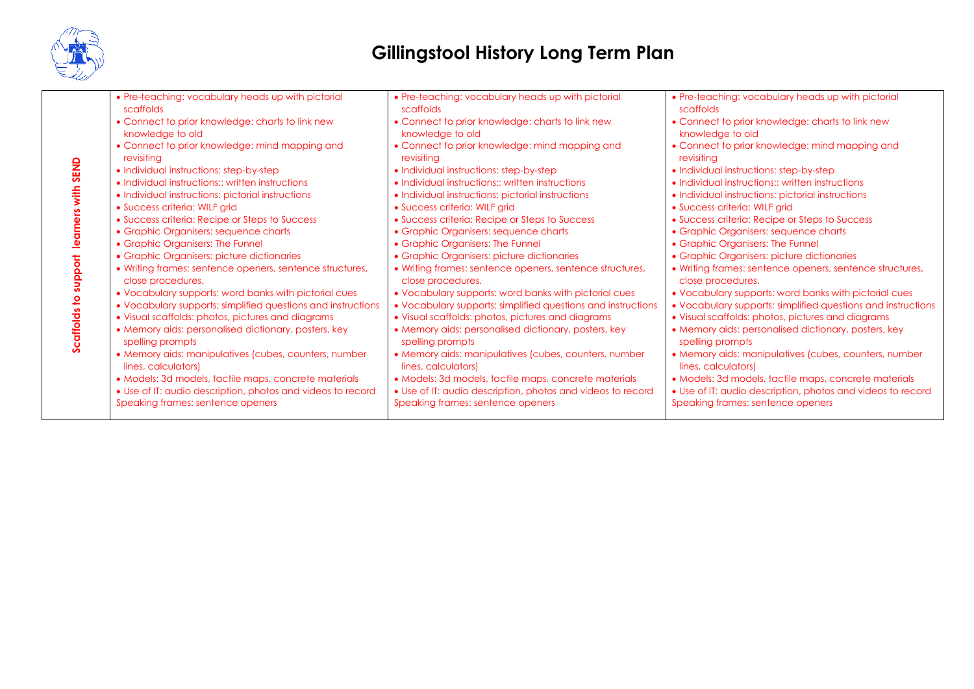

|               | • Pre-teaching: vocabulary heads up with pictorial<br>scaffolds          | • Pre-teaching: vocabulary heads up with pictorial<br>scaffolds          | • Pre-teaching: vocabulary heads up with pictorial<br>scaffolds          |
|---------------|--------------------------------------------------------------------------|--------------------------------------------------------------------------|--------------------------------------------------------------------------|
|               | • Connect to prior knowledge: charts to link new<br>knowledge to old     | • Connect to prior knowledge: charts to link new<br>knowledge to old     | • Connect to prior knowledge: charts to link new<br>knowledge to old     |
|               | • Connect to prior knowledge: mind mapping and<br>revisiting             | • Connect to prior knowledge: mind mapping and<br>revisiting             | • Connect to prior knowledge: mind mapping and<br>revisitina             |
| SEND          | • Individual instructions: step-by-step                                  | • Individual instructions: step-by-step                                  | • Individual instructions: step-by-step                                  |
|               | • Individual instructions:: written instructions                         | • Individual instructions:: written instructions                         | • Individual instructions:: written instructions                         |
| $\frac{1}{2}$ | • Individual instructions: pictorial instructions                        | • Individual instructions: pictorial instructions                        | • Individual instructions: pictorial instructions                        |
|               | • Success criteria: WILF grid                                            | • Success criteria: WILF grid                                            | • Success criteria: WILF grid                                            |
|               | • Success criteria: Recipe or Steps to Success                           | • Success criteria: Recipe or Steps to Success                           | • Success criteria: Recipe or Steps to Success                           |
|               | • Graphic Organisers: sequence charts                                    | • Graphic Organisers: sequence charts                                    | • Graphic Organisers: sequence charts                                    |
|               | • Graphic Organisers: The Funnel                                         | • Graphic Organisers: The Funnel                                         | • Graphic Organisers: The Funnel                                         |
|               | • Graphic Organisers: picture dictionaries                               | • Graphic Organisers: picture dictionaries                               | · Graphic Organisers: picture dictionaries                               |
| 등<br>ក        | • Writing frames: sentence openers, sentence structures,                 | • Writing frames: sentence openers, sentence structures,                 | • Writing frames: sentence openers, sentence structures,                 |
| ៑             | close procedures.                                                        | close procedures.                                                        | close procedures.                                                        |
|               | • Vocabulary supports: word banks with pictorial cues                    | • Vocabulary supports: word banks with pictorial cues                    | • Vocabulary supports: word banks with pictorial cues                    |
|               | • Vocabulary supports: simplified questions and instructions             | • Vocabulary supports: simplified questions and instructions             | • Vocabulary supports: simplified questions and instructions             |
|               | • Visual scaffolds: photos, pictures and diagrams                        | • Visual scaffolds: photos, pictures and diagrams                        | • Visual scaffolds: photos, pictures and diagrams                        |
| caffolds to   | • Memory aids: personalised dictionary, posters, key<br>spelling prompts | • Memory aids: personalised dictionary, posters, key<br>spelling prompts | • Memory aids: personalised dictionary, posters, key<br>spelling prompts |
|               | • Memory aids: manipulatives (cubes, counters, number                    | • Memory aids: manipulatives (cubes, counters, number                    | • Memory aids: manipulatives (cubes, counters, number                    |
|               | lines, calculators)                                                      | lines, calculators)                                                      | lines, calculators)                                                      |
|               | • Models: 3d models, tactile maps, concrete materials                    | • Models: 3d models, tactile maps, concrete materials                    | • Models: 3d models, tactile maps, concrete materials                    |
|               | • Use of IT: audio description, photos and videos to record              | • Use of IT: audio description, photos and videos to record              | • Use of IT: audio description, photos and videos to record              |
|               | Speaking frames: sentence openers                                        | Speaking frames: sentence openers                                        | Speaking frames: sentence openers                                        |
|               |                                                                          |                                                                          |                                                                          |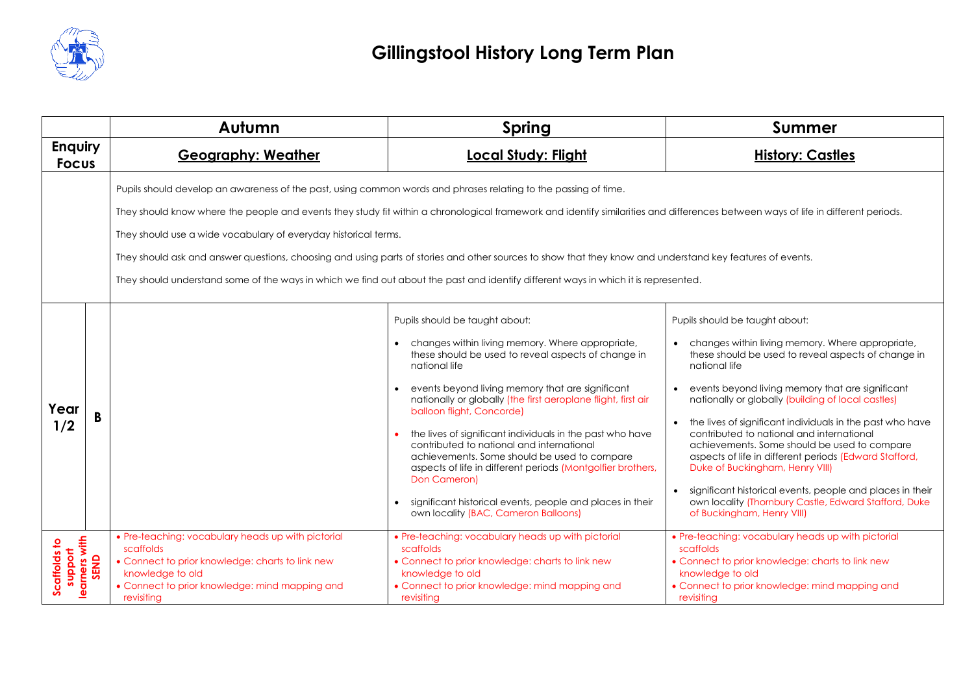

|                                |                       | Autumn                                                                                                                                                                                                  | Spring                                                                                                                                                                                                                                                                                                                                                                                                                                                                                                                                                                                                                                                     | <b>Summer</b>                                                                                                                                                                                                                                                                                                                                                                                                                                                                                                                                                                                                                                                                   |
|--------------------------------|-----------------------|---------------------------------------------------------------------------------------------------------------------------------------------------------------------------------------------------------|------------------------------------------------------------------------------------------------------------------------------------------------------------------------------------------------------------------------------------------------------------------------------------------------------------------------------------------------------------------------------------------------------------------------------------------------------------------------------------------------------------------------------------------------------------------------------------------------------------------------------------------------------------|---------------------------------------------------------------------------------------------------------------------------------------------------------------------------------------------------------------------------------------------------------------------------------------------------------------------------------------------------------------------------------------------------------------------------------------------------------------------------------------------------------------------------------------------------------------------------------------------------------------------------------------------------------------------------------|
| <b>Enquiry</b><br><b>Focus</b> |                       | <b>Geography: Weather</b>                                                                                                                                                                               | <b>Local Study: Flight</b>                                                                                                                                                                                                                                                                                                                                                                                                                                                                                                                                                                                                                                 | <b>History: Castles</b>                                                                                                                                                                                                                                                                                                                                                                                                                                                                                                                                                                                                                                                         |
|                                |                       | Pupils should develop an awareness of the past, using common words and phrases relating to the passing of time.<br>They should use a wide vocabulary of everyday historical terms.                      | They should know where the people and events they study fit within a chronological framework and identify similarities and differences between ways of life in different periods.<br>They should ask and answer questions, choosing and using parts of stories and other sources to show that they know and understand key features of events.<br>They should understand some of the ways in which we find out about the past and identify different ways in which it is represented.                                                                                                                                                                      |                                                                                                                                                                                                                                                                                                                                                                                                                                                                                                                                                                                                                                                                                 |
| Year<br>1/2                    |                       |                                                                                                                                                                                                         | Pupils should be taught about:<br>changes within living memory. Where appropriate,<br>these should be used to reveal aspects of change in<br>national life<br>events beyond living memory that are significant<br>nationally or globally (the first aeroplane flight, first air<br>balloon flight, Concorde)<br>the lives of significant individuals in the past who have<br>contributed to national and international<br>achievements. Some should be used to compare<br>aspects of life in different periods (Montgolfier brothers,<br>Don Cameron)<br>significant historical events, people and places in their<br>own locality (BAC, Cameron Balloons) | Pupils should be taught about:<br>changes within living memory. Where appropriate,<br>these should be used to reveal aspects of change in<br>national life<br>events beyond living memory that are significant<br>nationally or globally (building of local castles)<br>the lives of significant individuals in the past who have<br>contributed to national and international<br>achievements. Some should be used to compare<br>aspects of life in different periods (Edward Stafford,<br>Duke of Buckingham, Henry VIII)<br>significant historical events, people and places in their<br>own locality (Thornbury Castle, Edward Stafford, Duke<br>of Buckingham, Henry VIII) |
| Scaffolds to<br>support        | learners with<br>SEND | • Pre-teaching: vocabulary heads up with pictorial<br>scaffolds<br>• Connect to prior knowledge: charts to link new<br>knowledge to old<br>• Connect to prior knowledge: mind mapping and<br>revisiting | • Pre-teaching: vocabulary heads up with pictorial<br>scaffolds<br>• Connect to prior knowledge: charts to link new<br>knowledge to old<br>• Connect to prior knowledge: mind mapping and<br>revisiting                                                                                                                                                                                                                                                                                                                                                                                                                                                    | • Pre-teaching: vocabulary heads up with pictorial<br>scaffolds<br>• Connect to prior knowledge: charts to link new<br>knowledge to old<br>• Connect to prior knowledge: mind mapping and<br>revisiting                                                                                                                                                                                                                                                                                                                                                                                                                                                                         |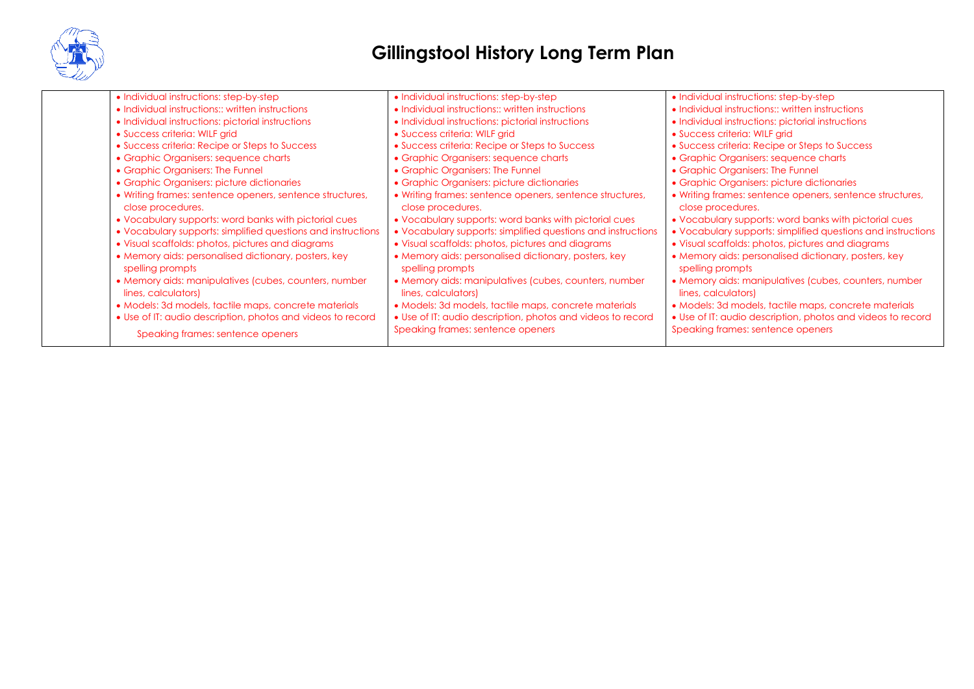

| • Individual instructions: step-by-step                                       | • Individual instructions: step-by-step                                       | • Individual instructions: step-by-step                                       |
|-------------------------------------------------------------------------------|-------------------------------------------------------------------------------|-------------------------------------------------------------------------------|
| • Individual instructions:: written instructions                              | • Individual instructions:: written instructions                              | • Individual instructions:: written instructions                              |
| • Individual instructions: pictorial instructions                             | • Individual instructions: pictorial instructions                             | • Individual instructions: pictorial instructions                             |
| • Success criteria: WILF grid                                                 | • Success criteria: WILF grid                                                 | • Success criteria: WILF grid                                                 |
| • Success criteria: Recipe or Steps to Success                                | • Success criteria: Recipe or Steps to Success                                | • Success criteria: Recipe or Steps to Success                                |
| • Graphic Organisers: sequence charts                                         | • Graphic Organisers: sequence charts                                         | • Graphic Organisers: sequence charts                                         |
| • Graphic Organisers: The Funnel                                              | • Graphic Organisers: The Funnel                                              | • Graphic Organisers: The Funnel                                              |
| • Graphic Organisers: picture dictionaries                                    | • Graphic Organisers: picture dictionaries                                    | • Graphic Organisers: picture dictionaries                                    |
| • Writing frames: sentence openers, sentence structures,<br>close procedures. | • Writing frames: sentence openers, sentence structures,<br>close procedures. | • Writing frames: sentence openers, sentence structures,<br>close procedures. |
| . Vocabulary supports: word banks with pictorial cues                         | • Vocabulary supports: word banks with pictorial cues                         | • Vocabulary supports: word banks with pictorial cues                         |
| • Vocabulary supports: simplified questions and instructions                  | • Vocabulary supports: simplified questions and instructions                  | • Vocabulary supports: simplified questions and instructions                  |
| • Visual scaffolds: photos, pictures and diagrams                             | • Visual scaffolds: photos, pictures and diagrams                             | • Visual scaffolds: photos, pictures and diagrams                             |
| • Memory aids: personalised dictionary, posters, key<br>spelling prompts      | • Memory aids: personalised dictionary, posters, key<br>spelling prompts      | • Memory aids: personalised dictionary, posters, key<br>spelling prompts      |
| • Memory aids: manipulatives (cubes, counters, number<br>lines, calculators)  | • Memory aids: manipulatives (cubes, counters, number<br>lines, calculators)  | • Memory aids: manipulatives (cubes, counters, number<br>lines, calculators)  |
| • Models: 3d models, tactile maps, concrete materials                         | • Models: 3d models, tactile maps, concrete materials                         | • Models: 3d models, tactile maps, concrete materials                         |
| • Use of IT: audio description, photos and videos to record                   | • Use of IT: audio description, photos and videos to record                   | • Use of IT: audio description, photos and videos to record                   |
| Speaking frames: sentence openers                                             | Speaking frames: sentence openers                                             | Speaking frames: sentence openers                                             |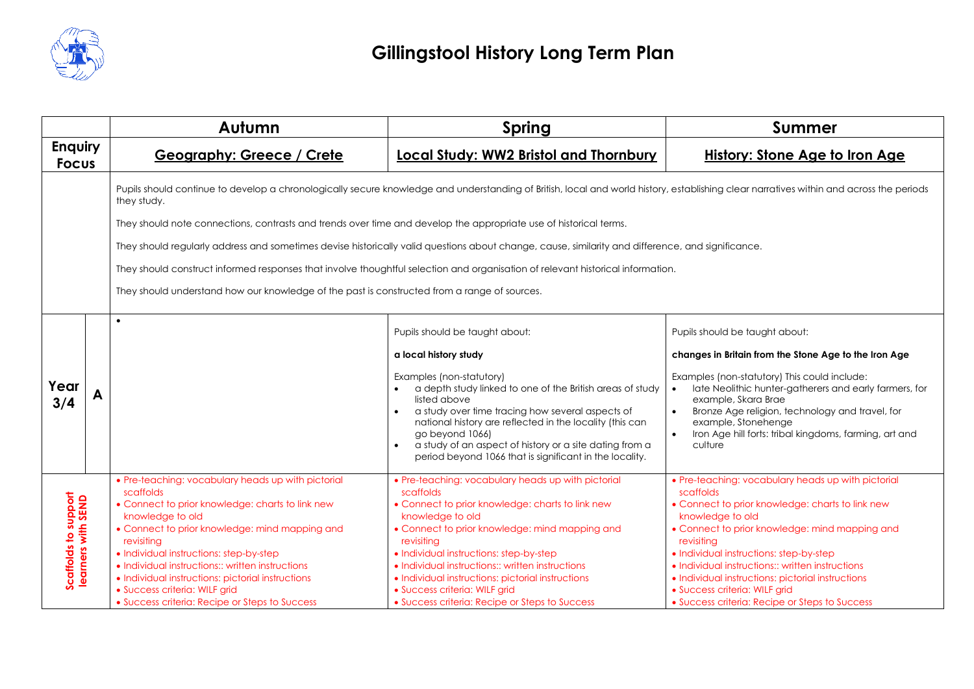

|                                            | Autumn                                                                                                                                                                                                                                                                                                                                                                                                                                         | Spring                                                                                                                                                                                                                                                                                                                                                                                                                                         | <b>Summer</b>                                                                                                                                                                                                                                                                                                                                                                                                                                  |  |  |
|--------------------------------------------|------------------------------------------------------------------------------------------------------------------------------------------------------------------------------------------------------------------------------------------------------------------------------------------------------------------------------------------------------------------------------------------------------------------------------------------------|------------------------------------------------------------------------------------------------------------------------------------------------------------------------------------------------------------------------------------------------------------------------------------------------------------------------------------------------------------------------------------------------------------------------------------------------|------------------------------------------------------------------------------------------------------------------------------------------------------------------------------------------------------------------------------------------------------------------------------------------------------------------------------------------------------------------------------------------------------------------------------------------------|--|--|
| <b>Enquiry</b><br><b>Focus</b>             | <b>Geography: Greece / Crete</b>                                                                                                                                                                                                                                                                                                                                                                                                               | <b>Local Study: WW2 Bristol and Thornbury</b>                                                                                                                                                                                                                                                                                                                                                                                                  | <b>History: Stone Age to Iron Age</b>                                                                                                                                                                                                                                                                                                                                                                                                          |  |  |
|                                            | Pupils should continue to develop a chronologically secure knowledge and understanding of British, local and world history, establishing clear narratives within and across the periods<br>they study.                                                                                                                                                                                                                                         |                                                                                                                                                                                                                                                                                                                                                                                                                                                |                                                                                                                                                                                                                                                                                                                                                                                                                                                |  |  |
|                                            | They should note connections, contrasts and trends over time and develop the appropriate use of historical terms.                                                                                                                                                                                                                                                                                                                              |                                                                                                                                                                                                                                                                                                                                                                                                                                                |                                                                                                                                                                                                                                                                                                                                                                                                                                                |  |  |
|                                            |                                                                                                                                                                                                                                                                                                                                                                                                                                                | They should regularly address and sometimes devise historically valid questions about change, cause, similarity and difference, and significance.                                                                                                                                                                                                                                                                                              |                                                                                                                                                                                                                                                                                                                                                                                                                                                |  |  |
|                                            |                                                                                                                                                                                                                                                                                                                                                                                                                                                | They should construct informed responses that involve thoughtful selection and organisation of relevant historical information.                                                                                                                                                                                                                                                                                                                |                                                                                                                                                                                                                                                                                                                                                                                                                                                |  |  |
|                                            | They should understand how our knowledge of the past is constructed from a range of sources.                                                                                                                                                                                                                                                                                                                                                   |                                                                                                                                                                                                                                                                                                                                                                                                                                                |                                                                                                                                                                                                                                                                                                                                                                                                                                                |  |  |
|                                            |                                                                                                                                                                                                                                                                                                                                                                                                                                                |                                                                                                                                                                                                                                                                                                                                                                                                                                                |                                                                                                                                                                                                                                                                                                                                                                                                                                                |  |  |
|                                            |                                                                                                                                                                                                                                                                                                                                                                                                                                                | Pupils should be taught about:                                                                                                                                                                                                                                                                                                                                                                                                                 | Pupils should be taught about:                                                                                                                                                                                                                                                                                                                                                                                                                 |  |  |
|                                            |                                                                                                                                                                                                                                                                                                                                                                                                                                                | a local history study                                                                                                                                                                                                                                                                                                                                                                                                                          | changes in Britain from the Stone Age to the Iron Age                                                                                                                                                                                                                                                                                                                                                                                          |  |  |
| Year<br>3/4                                |                                                                                                                                                                                                                                                                                                                                                                                                                                                | Examples (non-statutory)<br>a depth study linked to one of the British areas of study<br>listed above<br>a study over time tracing how several aspects of<br>national history are reflected in the locality (this can<br>go beyond 1066)<br>a study of an aspect of history or a site dating from a<br>period beyond 1066 that is significant in the locality.                                                                                 | Examples (non-statutory) This could include:<br>late Neolithic hunter-gatherers and early farmers, for<br>$\bullet$<br>example, Skara Brae<br>Bronze Age religion, technology and travel, for<br>$\bullet$<br>example, Stonehenge<br>Iron Age hill forts: tribal kingdoms, farming, art and<br>culture                                                                                                                                         |  |  |
| Scaffolds to support<br>learners with SEND | • Pre-teaching: vocabulary heads up with pictorial<br>scaffolds<br>• Connect to prior knowledge: charts to link new<br>knowledge to old<br>• Connect to prior knowledge: mind mapping and<br>revisiting<br>· Individual instructions: step-by-step<br>• Individual instructions:: written instructions<br>• Individual instructions: pictorial instructions<br>• Success criteria: WILF grid<br>• Success criteria: Recipe or Steps to Success | • Pre-teaching: vocabulary heads up with pictorial<br>scaffolds<br>• Connect to prior knowledge: charts to link new<br>knowledge to old<br>• Connect to prior knowledge: mind mapping and<br>revisiting<br>· Individual instructions: step-by-step<br>• Individual instructions:: written instructions<br>• Individual instructions: pictorial instructions<br>· Success criteria: WILF grid<br>• Success criteria: Recipe or Steps to Success | • Pre-teaching: vocabulary heads up with pictorial<br>scaffolds<br>• Connect to prior knowledge: charts to link new<br>knowledge to old<br>• Connect to prior knowledge: mind mapping and<br>revisiting<br>· Individual instructions: step-by-step<br>• Individual instructions:: written instructions<br>• Individual instructions: pictorial instructions<br>· Success criteria: WILF grid<br>• Success criteria: Recipe or Steps to Success |  |  |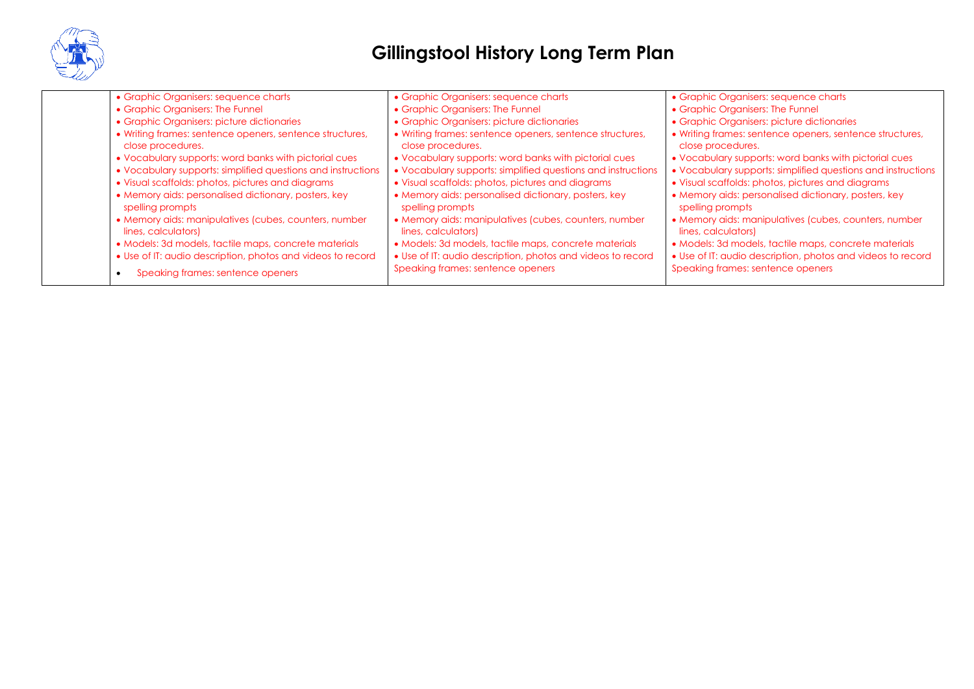

| • Graphic Organisers: sequence charts                                                                                                                                                                                                                                                                                                                                                                                   | • Graphic Organisers: sequence charts                                                                                                                                                                                                                                                                                                                                                                                   | • Graphic Organisers: sequence charts                                                                                                                                                                                                                                                                                                                                                                                   |
|-------------------------------------------------------------------------------------------------------------------------------------------------------------------------------------------------------------------------------------------------------------------------------------------------------------------------------------------------------------------------------------------------------------------------|-------------------------------------------------------------------------------------------------------------------------------------------------------------------------------------------------------------------------------------------------------------------------------------------------------------------------------------------------------------------------------------------------------------------------|-------------------------------------------------------------------------------------------------------------------------------------------------------------------------------------------------------------------------------------------------------------------------------------------------------------------------------------------------------------------------------------------------------------------------|
| • Graphic Organisers: The Funnel                                                                                                                                                                                                                                                                                                                                                                                        | • Graphic Organisers: The Funnel                                                                                                                                                                                                                                                                                                                                                                                        | • Graphic Organisers: The Funnel                                                                                                                                                                                                                                                                                                                                                                                        |
| • Graphic Organisers: picture dictionaries                                                                                                                                                                                                                                                                                                                                                                              | • Graphic Organisers: picture dictionaries                                                                                                                                                                                                                                                                                                                                                                              | • Graphic Organisers: picture dictionaries                                                                                                                                                                                                                                                                                                                                                                              |
| • Writing frames: sentence openers, sentence structures,<br>close procedures.<br>• Vocabulary supports: word banks with pictorial cues<br>• Vocabulary supports: simplified questions and instructions<br>• Visual scaffolds: photos, pictures and diagrams<br>• Memory aids: personalised dictionary, posters, key<br>spelling prompts<br>• Memory aids: manipulatives (cubes, counters, number<br>lines, calculators) | • Writing frames: sentence openers, sentence structures,<br>close procedures.<br>. Vocabulary supports: word banks with pictorial cues<br>• Vocabulary supports: simplified questions and instructions<br>• Visual scaffolds: photos, pictures and diagrams<br>• Memory aids: personalised dictionary, posters, key<br>spelling prompts<br>• Memory aids: manipulatives (cubes, counters, number<br>lines, calculators) | • Writing frames: sentence openers, sentence structures,<br>close procedures.<br>• Vocabulary supports: word banks with pictorial cues<br>• Vocabulary supports: simplified questions and instructions<br>• Visual scaffolds: photos, pictures and diagrams<br>• Memory aids: personalised dictionary, posters, key<br>spelling prompts<br>• Memory aids: manipulatives (cubes, counters, number<br>lines, calculators) |
| • Models: 3d models, tactile maps, concrete materials                                                                                                                                                                                                                                                                                                                                                                   | • Models: 3d models, tactile maps, concrete materials                                                                                                                                                                                                                                                                                                                                                                   | · Models: 3d models, tactile maps, concrete materials                                                                                                                                                                                                                                                                                                                                                                   |
| • Use of IT: audio description, photos and videos to record<br>Speaking frames: sentence openers                                                                                                                                                                                                                                                                                                                        | • Use of IT: audio description, photos and videos to record<br>Speaking frames: sentence openers                                                                                                                                                                                                                                                                                                                        | • Use of IT: audio description, photos and videos to record<br>Speaking frames: sentence openers                                                                                                                                                                                                                                                                                                                        |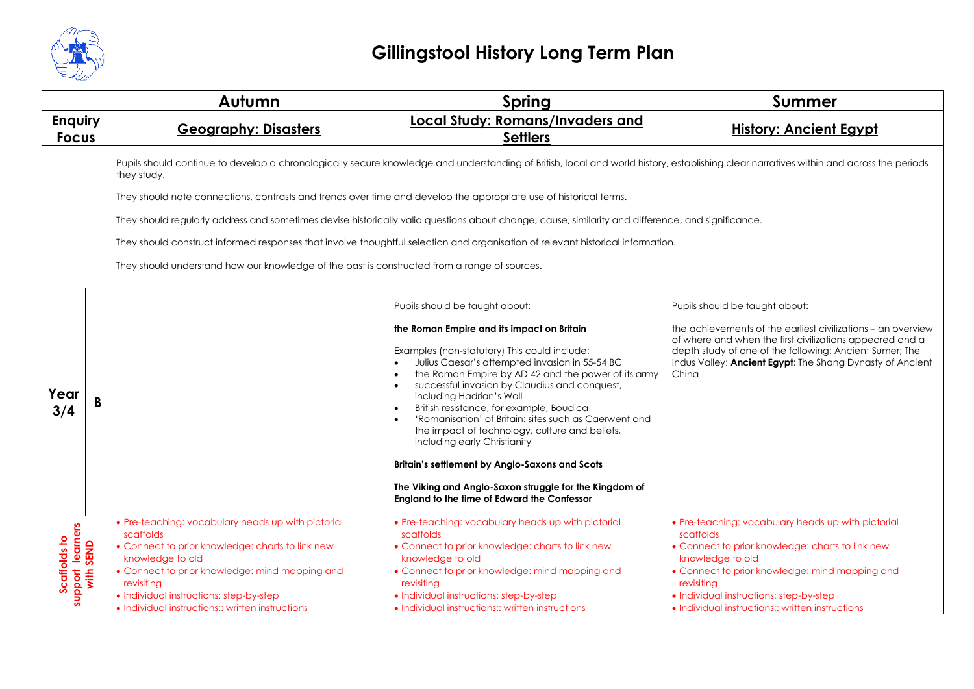

|                                               |   | Autumn                                                                                                                                                                                                                                                                                                 | <b>Spring</b>                                                                                                                                                                                                                                                                                                                                                                                                                                                                                                                                                                                                                                                                                                      | <b>Summer</b>                                                                                                                                                                                                                                                                                          |
|-----------------------------------------------|---|--------------------------------------------------------------------------------------------------------------------------------------------------------------------------------------------------------------------------------------------------------------------------------------------------------|--------------------------------------------------------------------------------------------------------------------------------------------------------------------------------------------------------------------------------------------------------------------------------------------------------------------------------------------------------------------------------------------------------------------------------------------------------------------------------------------------------------------------------------------------------------------------------------------------------------------------------------------------------------------------------------------------------------------|--------------------------------------------------------------------------------------------------------------------------------------------------------------------------------------------------------------------------------------------------------------------------------------------------------|
| <b>Enquiry</b><br><b>Focus</b>                |   | <b>Geography: Disasters</b>                                                                                                                                                                                                                                                                            | <b>Local Study: Romans/Invaders and</b><br><b>Settlers</b>                                                                                                                                                                                                                                                                                                                                                                                                                                                                                                                                                                                                                                                         | <b>History: Ancient Egypt</b>                                                                                                                                                                                                                                                                          |
|                                               |   | they study.                                                                                                                                                                                                                                                                                            | Pupils should continue to develop a chronologically secure knowledge and understanding of British, local and world history, establishing clear narratives within and across the periods                                                                                                                                                                                                                                                                                                                                                                                                                                                                                                                            |                                                                                                                                                                                                                                                                                                        |
|                                               |   | They should note connections, contrasts and trends over time and develop the appropriate use of historical terms.                                                                                                                                                                                      |                                                                                                                                                                                                                                                                                                                                                                                                                                                                                                                                                                                                                                                                                                                    |                                                                                                                                                                                                                                                                                                        |
|                                               |   |                                                                                                                                                                                                                                                                                                        | They should regularly address and sometimes devise historically valid questions about change, cause, similarity and difference, and significance.                                                                                                                                                                                                                                                                                                                                                                                                                                                                                                                                                                  |                                                                                                                                                                                                                                                                                                        |
|                                               |   |                                                                                                                                                                                                                                                                                                        | They should construct informed responses that involve thoughtful selection and organisation of relevant historical information.                                                                                                                                                                                                                                                                                                                                                                                                                                                                                                                                                                                    |                                                                                                                                                                                                                                                                                                        |
|                                               |   | They should understand how our knowledge of the past is constructed from a range of sources.                                                                                                                                                                                                           |                                                                                                                                                                                                                                                                                                                                                                                                                                                                                                                                                                                                                                                                                                                    |                                                                                                                                                                                                                                                                                                        |
| Year<br>3/4                                   | B |                                                                                                                                                                                                                                                                                                        | Pupils should be taught about:<br>the Roman Empire and its impact on Britain<br>Examples (non-statutory) This could include:<br>Julius Caesar's attempted invasion in 55-54 BC<br>the Roman Empire by AD 42 and the power of its army<br>$\bullet$<br>successful invasion by Claudius and conquest,<br>$\bullet$<br>including Hadrian's Wall<br>British resistance, for example, Boudica<br>$\bullet$<br>'Romanisation' of Britain: sites such as Caerwent and<br>the impact of technology, culture and beliefs,<br>including early Christianity<br><b>Britain's settlement by Anglo-Saxons and Scots</b><br>The Viking and Anglo-Saxon struggle for the Kingdom of<br>England to the time of Edward the Confessor | Pupils should be taught about:<br>the achievements of the earliest civilizations - an overview<br>of where and when the first civilizations appeared and a<br>depth study of one of the following: Ancient Sumer; The<br>Indus Valley; Ancient Egypt; The Shang Dynasty of Ancient<br>China            |
| support learners<br>with SEND<br>Scaffolds to |   | • Pre-teaching: vocabulary heads up with pictorial<br>scaffolds<br>• Connect to prior knowledge: charts to link new<br>knowledge to old<br>• Connect to prior knowledge: mind mapping and<br>revisiting<br>• Individual instructions: step-by-step<br>• Individual instructions:: written instructions | • Pre-teaching: vocabulary heads up with pictorial<br>scaffolds<br>• Connect to prior knowledge: charts to link new<br>knowledge to old<br>• Connect to prior knowledge: mind mapping and<br>revisiting<br>• Individual instructions: step-by-step<br>• Individual instructions:: written instructions                                                                                                                                                                                                                                                                                                                                                                                                             | • Pre-teaching: vocabulary heads up with pictorial<br>scaffolds<br>• Connect to prior knowledge: charts to link new<br>knowledge to old<br>• Connect to prior knowledge: mind mapping and<br>revisiting<br>• Individual instructions: step-by-step<br>• Individual instructions:: written instructions |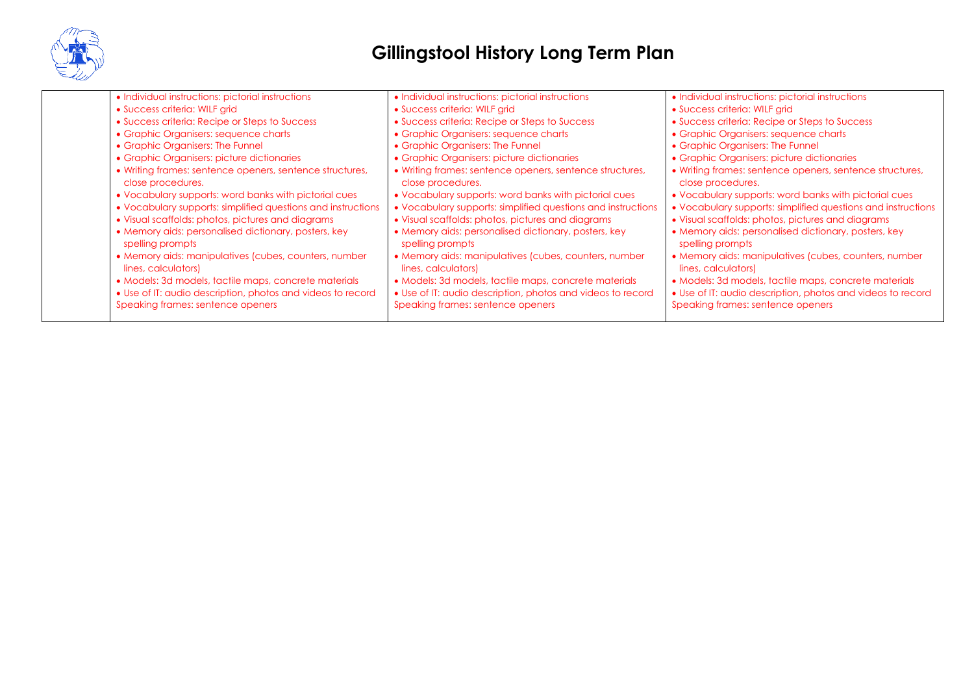

| • Individual instructions: pictorial instructions                             | • Individual instructions: pictorial instructions                             | · Individual instructions: pictorial instructions                             |
|-------------------------------------------------------------------------------|-------------------------------------------------------------------------------|-------------------------------------------------------------------------------|
| • Success criteria: WILF grid                                                 | · Success criteria: WILF grid                                                 | • Success criteria: WILF grid                                                 |
| • Success criteria: Recipe or Steps to Success                                | • Success criteria: Recipe or Steps to Success                                | • Success criteria: Recipe or Steps to Success                                |
| • Graphic Organisers: sequence charts                                         | • Graphic Organisers: sequence charts                                         | • Graphic Organisers: sequence charts                                         |
| • Graphic Organisers: The Funnel                                              | • Graphic Organisers: The Funnel                                              | • Graphic Organisers: The Funnel                                              |
| • Graphic Organisers: picture dictionaries                                    | • Graphic Organisers: picture dictionaries                                    | • Graphic Organisers: picture dictionaries                                    |
| • Writing frames: sentence openers, sentence structures,<br>close procedures. | • Writing frames: sentence openers, sentence structures,<br>close procedures. | • Writing frames: sentence openers, sentence structures,<br>close procedures. |
| • Vocabulary supports: word banks with pictorial cues                         | • Vocabulary supports: word banks with pictorial cues                         | • Vocabulary supports: word banks with pictorial cues                         |
| • Vocabulary supports: simplified questions and instructions                  | • Vocabulary supports: simplified questions and instructions                  | • Vocabulary supports: simplified questions and instructions                  |
| • Visual scaffolds: photos, pictures and diagrams                             | • Visual scaffolds: photos, pictures and diagrams                             | • Visual scaffolds: photos, pictures and diagrams                             |
| • Memory aids: personalised dictionary, posters, key<br>spelling prompts      | • Memory aids: personalised dictionary, posters, key<br>spelling prompts      | • Memory aids: personalised dictionary, posters, key<br>spelling prompts      |
| • Memory aids: manipulatives (cubes, counters, number<br>lines, calculators)  | • Memory aids: manipulatives (cubes, counters, number<br>lines, calculators)  | • Memory aids: manipulatives (cubes, counters, number<br>lines, calculators)  |
| • Models: 3d models, tactile maps, concrete materials                         | • Models: 3d models, tactile maps, concrete materials                         | • Models: 3d models, tactile maps, concrete materials                         |
| • Use of IT: audio description, photos and videos to record                   | • Use of IT: audio description, photos and videos to record                   | • Use of IT: audio description, photos and videos to record                   |
| Speaking frames: sentence openers                                             | Speaking frames: sentence openers                                             | Speaking frames: sentence openers                                             |
|                                                                               |                                                                               |                                                                               |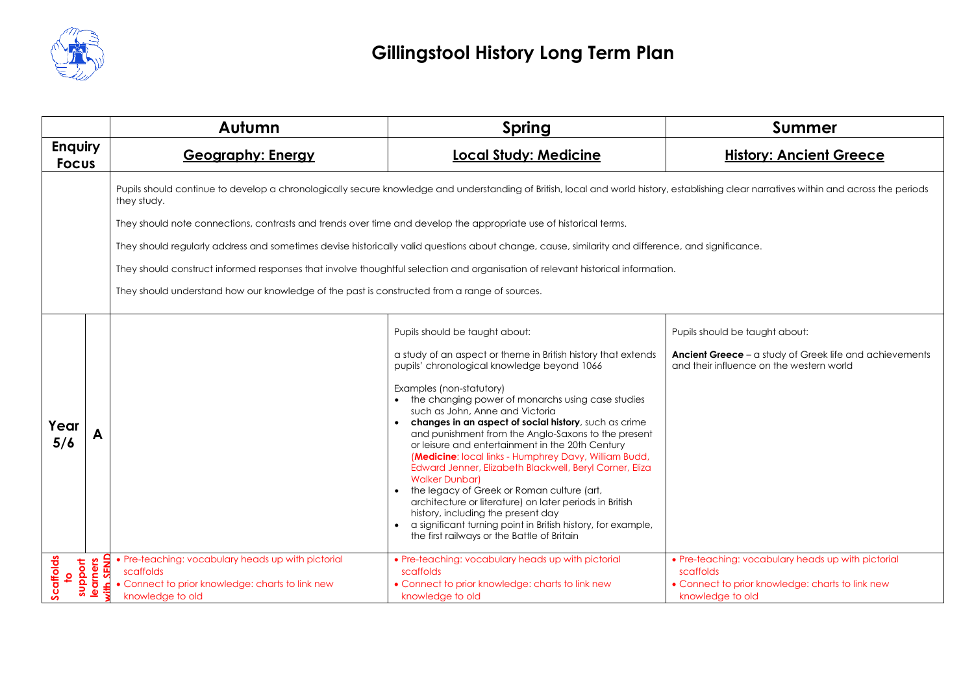

|                                        | Autumn                                                                                                                                          | <b>Spring</b>                                                                                                                                                                                                                                                                                                                                                                                                                                                                                                                                                                                                                                                                                                                                                                                                                                       | <b>Summer</b>                                                                                                                                |
|----------------------------------------|-------------------------------------------------------------------------------------------------------------------------------------------------|-----------------------------------------------------------------------------------------------------------------------------------------------------------------------------------------------------------------------------------------------------------------------------------------------------------------------------------------------------------------------------------------------------------------------------------------------------------------------------------------------------------------------------------------------------------------------------------------------------------------------------------------------------------------------------------------------------------------------------------------------------------------------------------------------------------------------------------------------------|----------------------------------------------------------------------------------------------------------------------------------------------|
| <b>Enquiry</b><br><b>Focus</b>         | <b>Geography: Energy</b>                                                                                                                        | <b>Local Study: Medicine</b>                                                                                                                                                                                                                                                                                                                                                                                                                                                                                                                                                                                                                                                                                                                                                                                                                        | <b>History: Ancient Greece</b>                                                                                                               |
|                                        | they study.                                                                                                                                     | Pupils should continue to develop a chronologically secure knowledge and understanding of British, local and world history, establishing clear narratives within and across the periods                                                                                                                                                                                                                                                                                                                                                                                                                                                                                                                                                                                                                                                             |                                                                                                                                              |
|                                        | They should note connections, contrasts and trends over time and develop the appropriate use of historical terms.                               |                                                                                                                                                                                                                                                                                                                                                                                                                                                                                                                                                                                                                                                                                                                                                                                                                                                     |                                                                                                                                              |
|                                        |                                                                                                                                                 | They should regularly address and sometimes devise historically valid questions about change, cause, similarity and difference, and significance.                                                                                                                                                                                                                                                                                                                                                                                                                                                                                                                                                                                                                                                                                                   |                                                                                                                                              |
|                                        |                                                                                                                                                 | They should construct informed responses that involve thoughtful selection and organisation of relevant historical information.                                                                                                                                                                                                                                                                                                                                                                                                                                                                                                                                                                                                                                                                                                                     |                                                                                                                                              |
|                                        | They should understand how our knowledge of the past is constructed from a range of sources.                                                    |                                                                                                                                                                                                                                                                                                                                                                                                                                                                                                                                                                                                                                                                                                                                                                                                                                                     |                                                                                                                                              |
| Year<br>5/6                            |                                                                                                                                                 | Pupils should be taught about:<br>a study of an aspect or theme in British history that extends<br>pupils' chronological knowledge beyond 1066<br>Examples (non-statutory)<br>• the changing power of monarchs using case studies<br>such as John, Anne and Victoria<br>changes in an aspect of social history, such as crime<br>and punishment from the Anglo-Saxons to the present<br>or leisure and entertainment in the 20th Century<br>(Medicine: local links - Humphrey Davy, William Budd,<br>Edward Jenner, Elizabeth Blackwell, Beryl Corner, Eliza<br><b>Walker Dunbarl</b><br>the legacy of Greek or Roman culture (art,<br>architecture or literature) on later periods in British<br>history, including the present day<br>a significant turning point in British history, for example,<br>the first railways or the Battle of Britain | Pupils should be taught about:<br><b>Ancient Greece</b> – a study of Greek life and achievements<br>and their influence on the western world |
| Scaffolds<br>to<br>support<br>learners | • Pre-teaching: vocabulary heads up with pictorial<br>SEND<br>scaffolds<br>• Connect to prior knowledge: charts to link new<br>knowledge to old | • Pre-teaching: vocabulary heads up with pictorial<br>scaffolds<br>• Connect to prior knowledge: charts to link new<br>knowledge to old                                                                                                                                                                                                                                                                                                                                                                                                                                                                                                                                                                                                                                                                                                             | • Pre-teaching: vocabulary heads up with pictorial<br>scaffolds<br>• Connect to prior knowledge: charts to link new<br>knowledge to old      |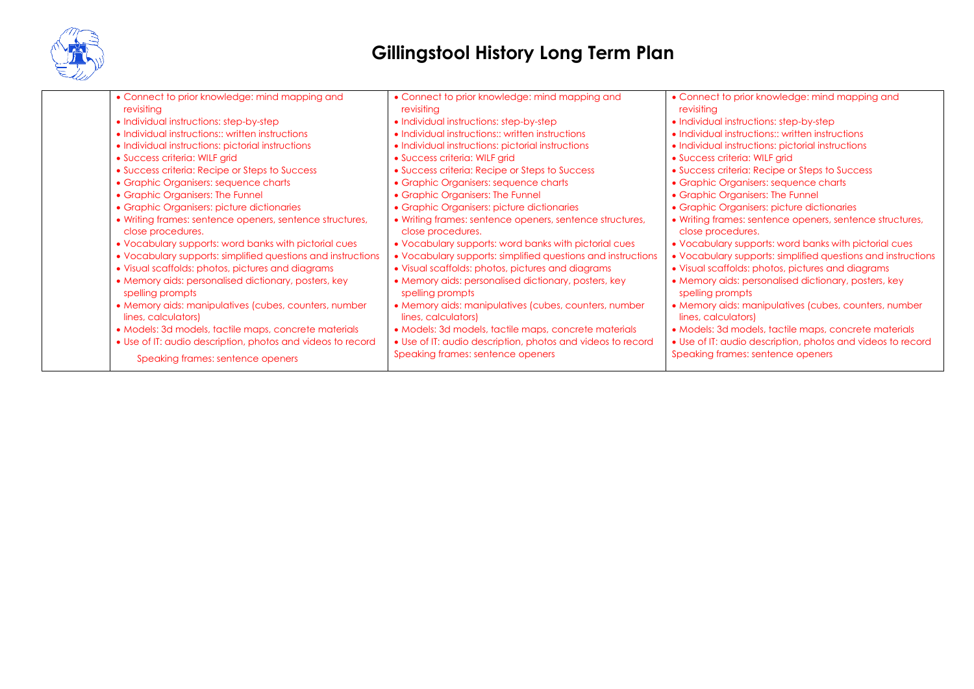

| • Connect to prior knowledge: mind mapping and<br>revisiting                  | • Connect to prior knowledge: mind mapping and<br>revisitina                  | • Connect to prior knowledge: mind mapping and<br>revisiting                  |
|-------------------------------------------------------------------------------|-------------------------------------------------------------------------------|-------------------------------------------------------------------------------|
| • Individual instructions: step-by-step                                       | • Individual instructions: step-by-step                                       | • Individual instructions: step-by-step                                       |
| • Individual instructions: written instructions                               | • Individual instructions:: written instructions                              | • Individual instructions: written instructions                               |
| · Individual instructions: pictorial instructions                             | • Individual instructions: pictorial instructions                             | • Individual instructions: pictorial instructions                             |
| • Success criteria: WILF grid                                                 | • Success criteria: WILF grid                                                 | • Success criteria: WILF grid                                                 |
| • Success criteria: Recipe or Steps to Success                                | • Success criteria: Recipe or Steps to Success                                | • Success criteria: Recipe or Steps to Success                                |
| • Graphic Organisers: sequence charts                                         | • Graphic Organisers: sequence charts                                         | • Graphic Organisers: sequence charts                                         |
| • Graphic Organisers: The Funnel                                              | • Graphic Organisers: The Funnel                                              | • Graphic Organisers: The Funnel                                              |
| • Graphic Organisers: picture dictionaries                                    | • Graphic Organisers: picture dictionaries                                    | • Graphic Organisers: picture dictionaries                                    |
| • Writing frames: sentence openers, sentence structures,<br>close procedures. | • Writing frames: sentence openers, sentence structures,<br>close procedures. | • Writing frames: sentence openers, sentence structures,<br>close procedures. |
| • Vocabulary supports: word banks with pictorial cues                         | • Vocabulary supports: word banks with pictorial cues                         | • Vocabulary supports: word banks with pictorial cues                         |
| • Vocabulary supports: simplified questions and instructions                  | • Vocabulary supports: simplified questions and instructions                  | • Vocabulary supports: simplified questions and instructions                  |
| • Visual scaffolds: photos, pictures and diagrams                             | • Visual scaffolds: photos, pictures and diagrams                             | • Visual scaffolds: photos, pictures and diagrams                             |
| • Memory aids: personalised dictionary, posters, key<br>spelling prompts      | • Memory aids: personalised dictionary, posters, key<br>spelling prompts      | • Memory aids: personalised dictionary, posters, key<br>spelling prompts      |
| • Memory aids: manipulatives (cubes, counters, number<br>lines, calculators)  | • Memory aids: manipulatives (cubes, counters, number<br>lines, calculators)  | • Memory aids: manipulatives (cubes, counters, number<br>lines, calculators)  |
| • Models: 3d models, tactile maps, concrete materials                         | • Models: 3d models, tactile maps, concrete materials                         | • Models: 3d models, tactile maps, concrete materials                         |
| • Use of IT: audio description, photos and videos to record                   | • Use of IT: audio description, photos and videos to record                   | • Use of IT: audio description, photos and videos to record                   |
| Speaking frames: sentence openers                                             | Speaking frames: sentence openers                                             | Speaking frames: sentence openers                                             |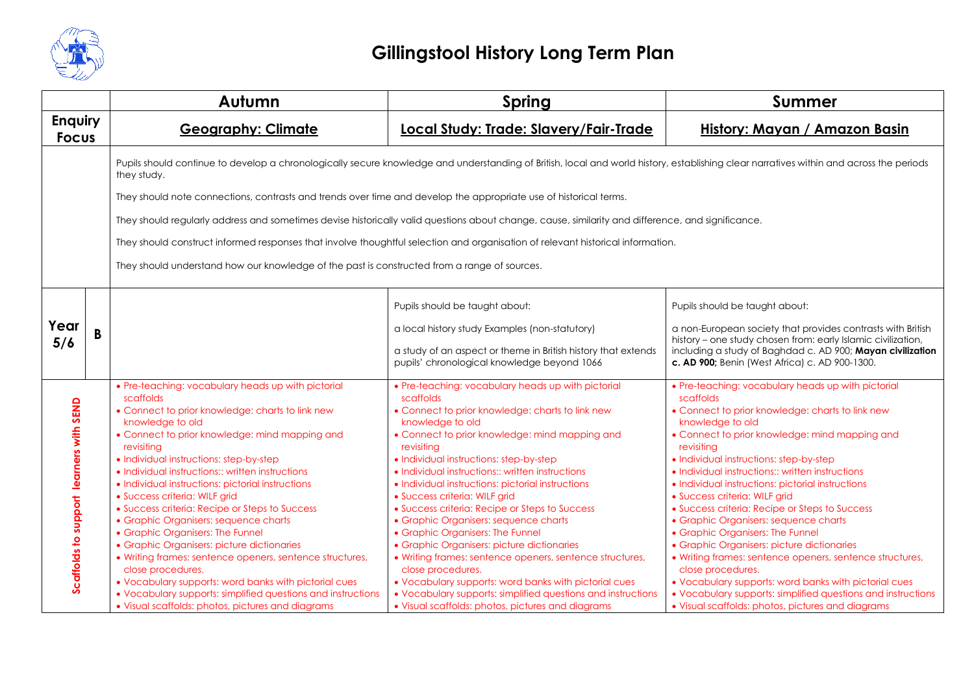

|                                |   | Autumn                                                                                                                                                                     | <b>Spring</b>                                                                                                                                                                           | <b>Summer</b>                                                                                                                                                              |  |  |
|--------------------------------|---|----------------------------------------------------------------------------------------------------------------------------------------------------------------------------|-----------------------------------------------------------------------------------------------------------------------------------------------------------------------------------------|----------------------------------------------------------------------------------------------------------------------------------------------------------------------------|--|--|
| <b>Enquiry</b><br><b>Focus</b> |   | <b>Geography: Climate</b>                                                                                                                                                  | Local Study: Trade: Slavery/Fair-Trade                                                                                                                                                  | History: Mayan / Amazon Basin                                                                                                                                              |  |  |
|                                |   | they study.                                                                                                                                                                | Pupils should continue to develop a chronologically secure knowledge and understanding of British, local and world history, establishing clear narratives within and across the periods |                                                                                                                                                                            |  |  |
|                                |   | They should note connections, contrasts and trends over time and develop the appropriate use of historical terms.                                                          |                                                                                                                                                                                         |                                                                                                                                                                            |  |  |
|                                |   | They should regularly address and sometimes devise historically valid questions about change, cause, similarity and difference, and significance.                          |                                                                                                                                                                                         |                                                                                                                                                                            |  |  |
|                                |   | They should construct informed responses that involve thoughtful selection and organisation of relevant historical information.                                            |                                                                                                                                                                                         |                                                                                                                                                                            |  |  |
|                                |   | They should understand how our knowledge of the past is constructed from a range of sources.                                                                               |                                                                                                                                                                                         |                                                                                                                                                                            |  |  |
|                                |   |                                                                                                                                                                            | Pupils should be taught about:                                                                                                                                                          | Pupils should be taught about:                                                                                                                                             |  |  |
| Year                           | B |                                                                                                                                                                            | a local history study Examples (non-statutory)                                                                                                                                          | a non-European society that provides contrasts with British<br>history - one study chosen from: early Islamic civilization,                                                |  |  |
| 5/6                            |   |                                                                                                                                                                            | a study of an aspect or theme in British history that extends<br>pupils' chronological knowledge beyond 1066                                                                            | including a study of Baghdad c. AD 900; Mayan civilization<br>c. AD 900; Benin (West Africa) c. AD 900-1300.                                                               |  |  |
|                                |   | • Pre-teaching: vocabulary heads up with pictorial<br>scaffolds                                                                                                            | • Pre-teaching: vocabulary heads up with pictorial<br>scaffolds                                                                                                                         | • Pre-teaching: vocabulary heads up with pictorial<br>scaffolds                                                                                                            |  |  |
| learners with SEND             |   | • Connect to prior knowledge: charts to link new<br>knowledge to old<br>• Connect to prior knowledge: mind mapping and<br>revisiting                                       | • Connect to prior knowledge: charts to link new<br>knowledge to old<br>• Connect to prior knowledge: mind mapping and<br>revisiting                                                    | • Connect to prior knowledge: charts to link new<br>knowledge to old<br>• Connect to prior knowledge: mind mapping and<br>revisitina                                       |  |  |
|                                |   | • Individual instructions: step-by-step<br>• Individual instructions:: written instructions<br>· Individual instructions: pictorial instructions                           | • Individual instructions: step-by-step<br>• Individual instructions:: written instructions<br>· Individual instructions: pictorial instructions                                        | • Individual instructions: step-by-step<br>• Individual instructions:: written instructions<br>· Individual instructions: pictorial instructions                           |  |  |
|                                |   | · Success criteria: WILF grid<br>• Success criteria: Recipe or Steps to Success<br>• Graphic Organisers: sequence charts<br>• Graphic Organisers: The Funnel               | · Success criteria: WILF grid<br>• Success criteria: Recipe or Steps to Success<br>• Graphic Organisers: sequence charts<br>• Graphic Organisers: The Funnel                            | · Success criteria: WILF grid<br>• Success criteria: Recipe or Steps to Success<br>• Graphic Organisers: sequence charts<br>• Graphic Organisers: The Funnel               |  |  |
| Scaffolds to support           |   | • Graphic Organisers: picture dictionaries<br>• Writing frames: sentence openers, sentence structures,<br>close procedures.                                                | • Graphic Organisers: picture dictionaries<br>• Writing frames: sentence openers, sentence structures,<br>close procedures.                                                             | • Graphic Organisers: picture dictionaries<br>• Writing frames: sentence openers, sentence structures,<br>close procedures.                                                |  |  |
|                                |   | • Vocabulary supports: word banks with pictorial cues<br>• Vocabulary supports: simplified questions and instructions<br>• Visual scaffolds: photos, pictures and diagrams | • Vocabulary supports: word banks with pictorial cues<br>• Vocabulary supports: simplified questions and instructions<br>• Visual scaffolds: photos, pictures and diagrams              | • Vocabulary supports: word banks with pictorial cues<br>• Vocabulary supports: simplified questions and instructions<br>• Visual scaffolds: photos, pictures and diagrams |  |  |